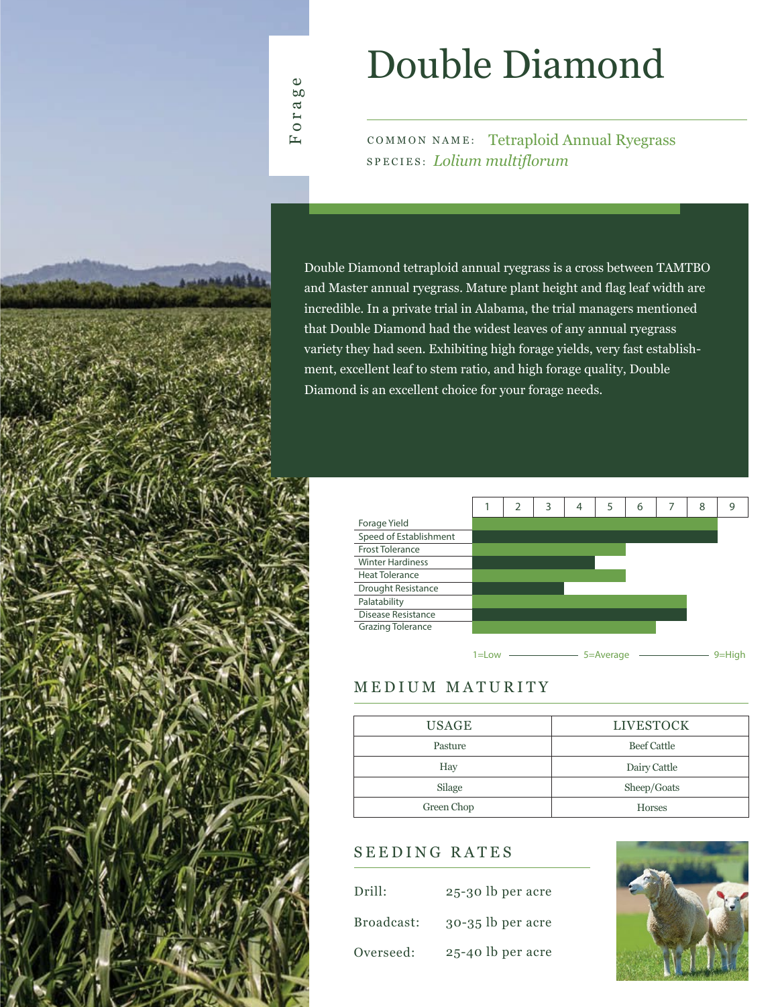# Double Diamond

COMMON NAME: Tetraploid Annual Ryegrass SPECIES: *Lolium multiflorum*

Double Diamond tetraploid annual ryegrass is a cross between TAMTBO and Master annual ryegrass. Mature plant height and flag leaf width are incredible. In a private trial in Alabama, the trial managers mentioned that Double Diamond had the widest leaves of any annual ryegrass variety they had seen. Exhibiting high forage yields, very fast establishment, excellent leaf to stem ratio, and high forage quality, Double Diamond is an excellent choice for your forage needs.



### MEDIUM MATURITY

| <b>USAGE</b> | <b>LIVESTOCK</b>   |  |  |  |  |
|--------------|--------------------|--|--|--|--|
| Pasture      | <b>Beef Cattle</b> |  |  |  |  |
| Hay          | Dairy Cattle       |  |  |  |  |
| Silage       | Sheep/Goats        |  |  |  |  |
| Green Chop   | <b>Horses</b>      |  |  |  |  |

#### SEEDING RATES

| Drill:     | 25-30 lb per acre   |
|------------|---------------------|
| Broadcast: | $30-35$ lb per acre |
| Overseed:  | 25-40 lb per acre   |